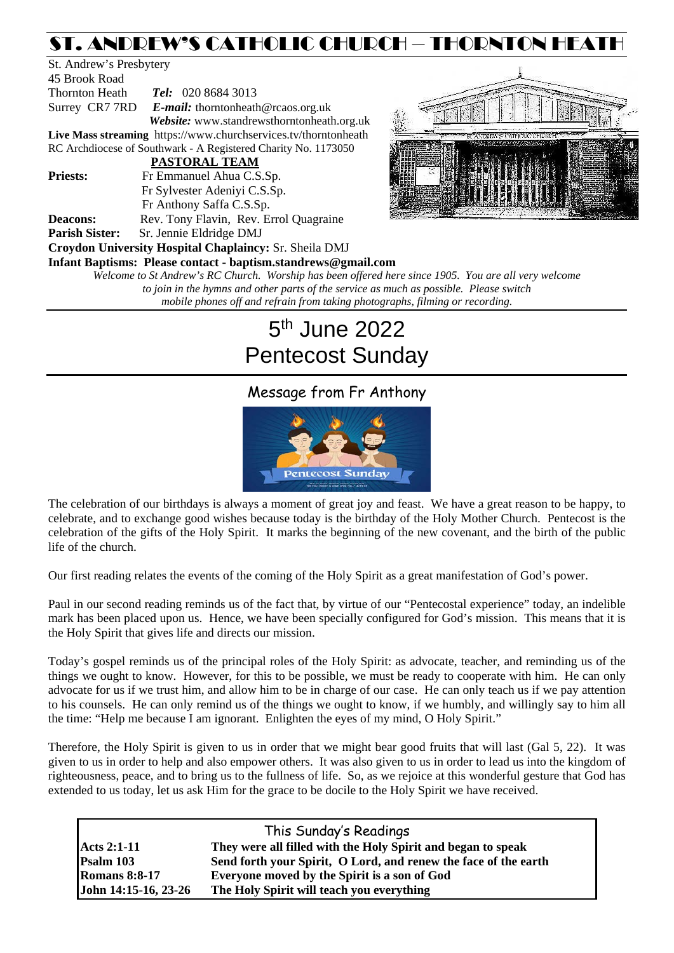## ST. ANDREW'S CATHOLIC CHURCH – THORNTON HEATH

| St. Andrew's Presbytery |                                                                 |               |
|-------------------------|-----------------------------------------------------------------|---------------|
| 45 Brook Road           |                                                                 |               |
| Thornton Heath          | <b>Tel:</b> 020 8684 3013                                       |               |
|                         | Surrey CR7 7RD E-mail: thorntonheath@rcaos.org.uk               |               |
|                         | Website: www.standrewsthorntonheath.org.uk                      | $\frac{1}{2}$ |
|                         | Live Mass streaming https://www.churchservices.tv/thorntonheath |               |
|                         | RC Archdiocese of Southwark - A Registered Charity No. 1173050  |               |
|                         | PASTORAL TEAM                                                   |               |
| <b>Priests:</b>         | Fr Emmanuel Ahua C.S.Sp.                                        |               |
|                         | Fr Sylvester Adeniyi C.S.Sp.                                    |               |
|                         | Fr Anthony Saffa C.S.Sp.                                        | 化学 医病         |
| <b>Deacons:</b>         | Rev. Tony Flavin, Rev. Errol Quagraine                          |               |
| <b>Parish Sister:</b>   | Sr. Jennie Eldridge DMJ                                         |               |
|                         | <b>Croydon University Hospital Chaplaincy: Sr. Sheila DMJ</b>   |               |
|                         | Infant Baptisms: Please contact - baptism.standrews@gmail.com   |               |
|                         | Welcome to St Andrew's RC Church. Worship has been offered he   |               |
|                         | to join in the hymne and other parts of the service as my       |               |



*Welcome to St Andrew's RC Church. Worship has been offered here since 1905. You are all very welcome to join in the hymns and other parts of the service as much as possible. Please switch mobile phones off and refrain from taking photographs, filming or recording.*

# 5th June 2022 Pentecost Sunday

## Message from Fr Anthony



The celebration of our birthdays is always a moment of great joy and feast. We have a great reason to be happy, to celebrate, and to exchange good wishes because today is the birthday of the Holy Mother Church. Pentecost is the celebration of the gifts of the Holy Spirit. It marks the beginning of the new covenant, and the birth of the public life of the church.

Our first reading relates the events of the coming of the Holy Spirit as a great manifestation of God's power.

Paul in our second reading reminds us of the fact that, by virtue of our "Pentecostal experience" today, an indelible mark has been placed upon us. Hence, we have been specially configured for God's mission. This means that it is the Holy Spirit that gives life and directs our mission.

Today's gospel reminds us of the principal roles of the Holy Spirit: as advocate, teacher, and reminding us of the things we ought to know. However, for this to be possible, we must be ready to cooperate with him. He can only advocate for us if we trust him, and allow him to be in charge of our case. He can only teach us if we pay attention to his counsels. He can only remind us of the things we ought to know, if we humbly, and willingly say to him all the time: "Help me because I am ignorant. Enlighten the eyes of my mind, O Holy Spirit."

Therefore, the Holy Spirit is given to us in order that we might bear good fruits that will last (Gal 5, 22). It was given to us in order to help and also empower others. It was also given to us in order to lead us into the kingdom of righteousness, peace, and to bring us to the fullness of life. So, as we rejoice at this wonderful gesture that God has extended to us today, let us ask Him for the grace to be docile to the Holy Spirit we have received.

|                      | This Sunday's Readings                                          |
|----------------------|-----------------------------------------------------------------|
| <b>Acts 2:1-11</b>   | They were all filled with the Holy Spirit and began to speak    |
| Psalm 103            | Send forth your Spirit, O Lord, and renew the face of the earth |
| <b>Romans 8:8-17</b> | Everyone moved by the Spirit is a son of God                    |
| John 14:15-16, 23-26 | The Holy Spirit will teach you everything                       |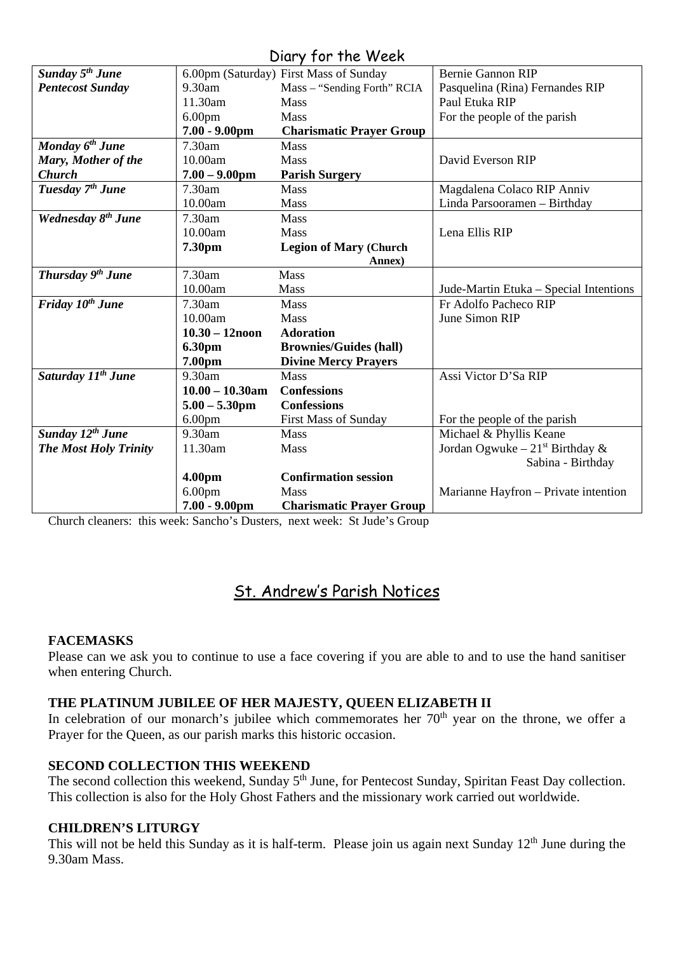### Diary for the Week

| <b>Sunday 5th June</b><br>6.00pm (Saturday) First Mass of Sunday<br><b>Bernie Gannon RIP</b><br>9.30am<br><b>Pentecost Sunday</b><br>Mass - "Sending Forth" RCIA<br>Pasquelina (Rina) Fernandes RIP<br>11.30am<br>Paul Etuka RIP<br><b>Mass</b><br>6.00 <sub>pm</sub><br>Mass<br>For the people of the parish<br>$7.00 - 9.00$ pm<br><b>Charismatic Prayer Group</b><br>Monday 6 <sup>th</sup> June<br>7.30am<br><b>Mass</b> |
|------------------------------------------------------------------------------------------------------------------------------------------------------------------------------------------------------------------------------------------------------------------------------------------------------------------------------------------------------------------------------------------------------------------------------|
|                                                                                                                                                                                                                                                                                                                                                                                                                              |
|                                                                                                                                                                                                                                                                                                                                                                                                                              |
|                                                                                                                                                                                                                                                                                                                                                                                                                              |
|                                                                                                                                                                                                                                                                                                                                                                                                                              |
|                                                                                                                                                                                                                                                                                                                                                                                                                              |
|                                                                                                                                                                                                                                                                                                                                                                                                                              |
| Mary, Mother of the<br>10.00am<br>Mass<br>David Everson RIP                                                                                                                                                                                                                                                                                                                                                                  |
| <b>Church</b><br>$7.00 - 9.00$ pm<br><b>Parish Surgery</b>                                                                                                                                                                                                                                                                                                                                                                   |
| Tuesday 7 <sup>th</sup> June<br>7.30am<br><b>Mass</b><br>Magdalena Colaco RIP Anniv                                                                                                                                                                                                                                                                                                                                          |
| 10.00am<br>Mass<br>Linda Parsooramen - Birthday                                                                                                                                                                                                                                                                                                                                                                              |
| Wednesday 8 <sup>th</sup> June<br>7.30am<br>Mass                                                                                                                                                                                                                                                                                                                                                                             |
| 10.00am<br>Lena Ellis RIP<br><b>Mass</b>                                                                                                                                                                                                                                                                                                                                                                                     |
| 7.30pm<br><b>Legion of Mary (Church</b>                                                                                                                                                                                                                                                                                                                                                                                      |
| Annex)                                                                                                                                                                                                                                                                                                                                                                                                                       |
| Thursday 9 <sup>th</sup> June<br>7.30am<br>Mass                                                                                                                                                                                                                                                                                                                                                                              |
| 10.00am<br>Mass<br>Jude-Martin Etuka - Special Intentions                                                                                                                                                                                                                                                                                                                                                                    |
| Friday 10 <sup>th</sup> June<br>7.30am<br>Fr Adolfo Pacheco RIP<br><b>Mass</b>                                                                                                                                                                                                                                                                                                                                               |
| June Simon RIP<br>10.00am<br>Mass                                                                                                                                                                                                                                                                                                                                                                                            |
| $10.30 - 12$ noon<br><b>Adoration</b>                                                                                                                                                                                                                                                                                                                                                                                        |
| 6.30pm<br><b>Brownies/Guides (hall)</b>                                                                                                                                                                                                                                                                                                                                                                                      |
| 7.00pm<br><b>Divine Mercy Prayers</b>                                                                                                                                                                                                                                                                                                                                                                                        |
| Saturday 11 <sup>th</sup> June<br>9.30am<br>Assi Victor D'Sa RIP<br>Mass                                                                                                                                                                                                                                                                                                                                                     |
| $10.00 - 10.30$ am<br><b>Confessions</b>                                                                                                                                                                                                                                                                                                                                                                                     |
| <b>Confessions</b><br>$5.00 - 5.30$ pm                                                                                                                                                                                                                                                                                                                                                                                       |
| 6.00 <sub>pm</sub><br><b>First Mass of Sunday</b><br>For the people of the parish                                                                                                                                                                                                                                                                                                                                            |
| Sunday 12 <sup>th</sup> June<br>9.30am<br>Michael & Phyllis Keane<br>Mass                                                                                                                                                                                                                                                                                                                                                    |
| Jordan Ogwuke – $21^{st}$ Birthday &<br><b>The Most Holy Trinity</b><br>11.30am<br>Mass                                                                                                                                                                                                                                                                                                                                      |
| Sabina - Birthday                                                                                                                                                                                                                                                                                                                                                                                                            |
| <b>Confirmation session</b><br>4.00pm                                                                                                                                                                                                                                                                                                                                                                                        |
| 6.00 <sub>pm</sub><br>Mass<br>Marianne Hayfron - Private intention                                                                                                                                                                                                                                                                                                                                                           |
| $7.00 - 9.00$ pm<br><b>Charismatic Prayer Group</b>                                                                                                                                                                                                                                                                                                                                                                          |

Church cleaners: this week: Sancho's Dusters, next week: St Jude's Group

## St. Andrew's Parish Notices

#### **FACEMASKS**

Please can we ask you to continue to use a face covering if you are able to and to use the hand sanitiser when entering Church.

#### **THE PLATINUM JUBILEE OF HER MAJESTY, QUEEN ELIZABETH II**

In celebration of our monarch's jubilee which commemorates her  $70<sup>th</sup>$  year on the throne, we offer a Prayer for the Queen, as our parish marks this historic occasion.

#### **SECOND COLLECTION THIS WEEKEND**

The second collection this weekend, Sunday 5<sup>th</sup> June, for Pentecost Sunday, Spiritan Feast Day collection. This collection is also for the Holy Ghost Fathers and the missionary work carried out worldwide.

#### **CHILDREN'S LITURGY**

This will not be held this Sunday as it is half-term. Please join us again next Sunday  $12<sup>th</sup>$  June during the 9.30am Mass.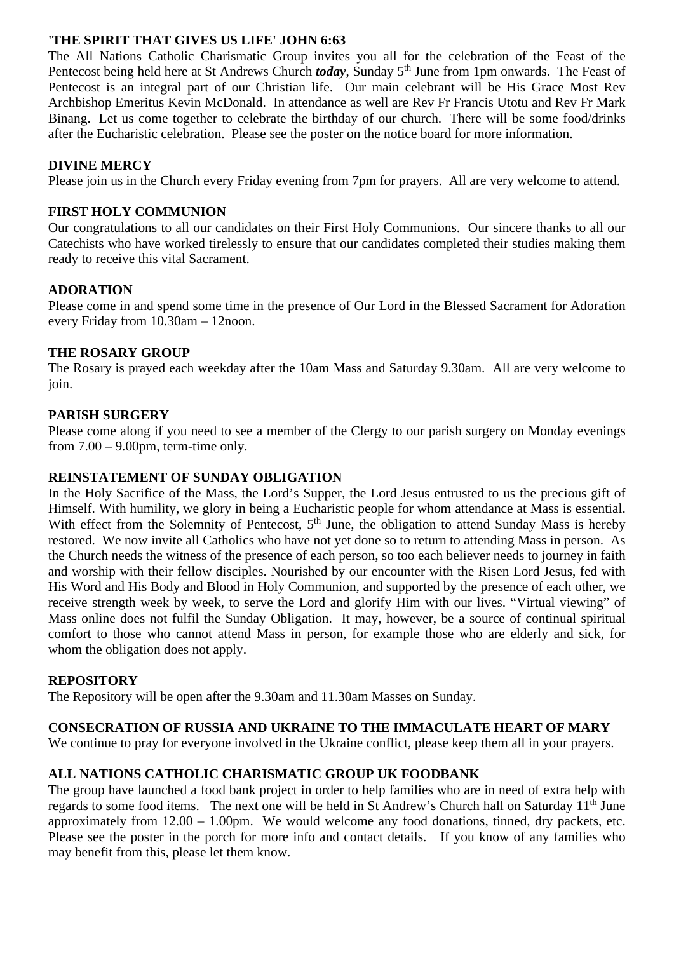#### **'THE SPIRIT THAT GIVES US LIFE' JOHN 6:63**

The All Nations Catholic Charismatic Group invites you all for the celebration of the Feast of the Pentecost being held here at St Andrews Church *today*, Sunday 5<sup>th</sup> June from 1pm onwards. The Feast of Pentecost is an integral part of our Christian life. Our main celebrant will be His Grace Most Rev Archbishop Emeritus Kevin McDonald. In attendance as well are Rev Fr Francis Utotu and Rev Fr Mark Binang. Let us come together to celebrate the birthday of our church. There will be some food/drinks after the Eucharistic celebration. Please see the poster on the notice board for more information.

#### **DIVINE MERCY**

Please join us in the Church every Friday evening from 7pm for prayers. All are very welcome to attend.

#### **FIRST HOLY COMMUNION**

Our congratulations to all our candidates on their First Holy Communions. Our sincere thanks to all our Catechists who have worked tirelessly to ensure that our candidates completed their studies making them ready to receive this vital Sacrament.

#### **ADORATION**

Please come in and spend some time in the presence of Our Lord in the Blessed Sacrament for Adoration every Friday from 10.30am – 12noon.

#### **THE ROSARY GROUP**

The Rosary is prayed each weekday after the 10am Mass and Saturday 9.30am. All are very welcome to join.

#### **PARISH SURGERY**

Please come along if you need to see a member of the Clergy to our parish surgery on Monday evenings from  $7.00 - 9.00$ pm, term-time only.

#### **REINSTATEMENT OF SUNDAY OBLIGATION**

In the Holy Sacrifice of the Mass, the Lord's Supper, the Lord Jesus entrusted to us the precious gift of Himself. With humility, we glory in being a Eucharistic people for whom attendance at Mass is essential. With effect from the Solemnity of Pentecost, 5<sup>th</sup> June, the obligation to attend Sunday Mass is hereby restored. We now invite all Catholics who have not yet done so to return to attending Mass in person. As the Church needs the witness of the presence of each person, so too each believer needs to journey in faith and worship with their fellow disciples. Nourished by our encounter with the Risen Lord Jesus, fed with His Word and His Body and Blood in Holy Communion, and supported by the presence of each other, we receive strength week by week, to serve the Lord and glorify Him with our lives. "Virtual viewing" of Mass online does not fulfil the Sunday Obligation. It may, however, be a source of continual spiritual comfort to those who cannot attend Mass in person, for example those who are elderly and sick, for whom the obligation does not apply.

#### **REPOSITORY**

The Repository will be open after the 9.30am and 11.30am Masses on Sunday.

#### **CONSECRATION OF RUSSIA AND UKRAINE TO THE IMMACULATE HEART OF MARY**

We continue to pray for everyone involved in the Ukraine conflict, please keep them all in your prayers.

#### **ALL NATIONS CATHOLIC CHARISMATIC GROUP UK FOODBANK**

The group have launched a food bank project in order to help families who are in need of extra help with regards to some food items. The next one will be held in St Andrew's Church hall on Saturday 11<sup>th</sup> June approximately from 12.00 – 1.00pm. We would welcome any food donations, tinned, dry packets, etc. Please see the poster in the porch for more info and contact details. If you know of any families who may benefit from this, please let them know.